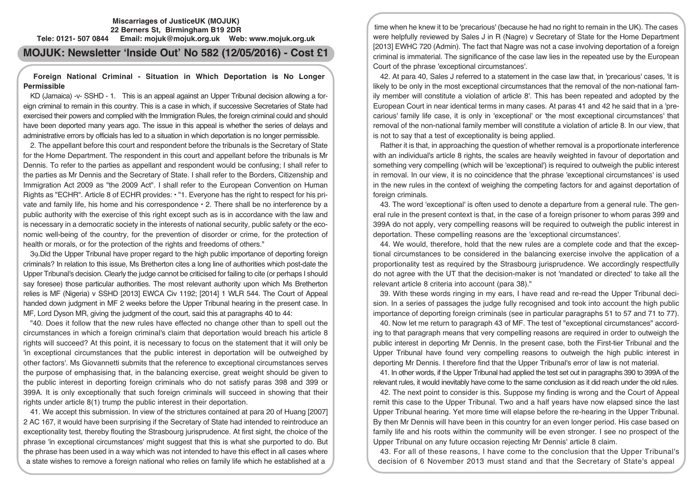### **Miscarriages of JusticeUK (MOJUK) 22 Berners St, Birmingham B19 2DR Tele: 0121- 507 0844 Email: mojuk@mojuk.org.uk Web: www.mojuk.org.uk**

# **MOJUK: Newsletter 'Inside Out' No 582 (12/05/2016) - Cost £1**

## **Foreign National Criminal - Situation in Which Deportation is No Longer Permissible**

KD (Jamaica) -v- SSHD - 1. This is an appeal against an Upper Tribunal decision allowing a foreign criminal to remain in this country. This is a case in which, if successive Secretaries of State had exercised their powers and complied with the Immigration Rules, the foreign criminal could and should have been deported many years ago. The issue in this appeal is whether the series of delays and administrative errors by officials has led to a situation in which deportation is no longer permissible.

2. The appellant before this court and respondent before the tribunals is the Secretary of State for the Home Department. The respondent in this court and appellant before the tribunals is Mr Dennis. To refer to the parties as appellant and respondent would be confusing; I shall refer to the parties as Mr Dennis and the Secretary of State. I shall refer to the Borders, Citizenship and Immigration Act 2009 as "the 2009 Act". I shall refer to the European Convention on Human Rights as "ECHR". Article 8 of ECHR provides: • "1. Everyone has the right to respect for his private and family life, his home and his correspondence • 2. There shall be no interference by a public authority with the exercise of this right except such as is in accordance with the law and is necessary in a democratic society in the interests of national security, public safety or the economic well-being of the country, for the prevention of disorder or crime, for the protection of health or morals, or for the protection of the rights and freedoms of others."

39.Did the Upper Tribunal have proper regard to the high public importance of deporting foreign criminals? In relation to this issue, Ms Bretherton cites a long line of authorities which post-date the Upper Tribunal's decision. Clearly the judge cannot be criticised for failing to cite (or perhaps I should say foresee) those particular authorities. The most relevant authority upon which Ms Bretherton relies is MF (Nigeria) v SSHD [2013] EWCA Civ 1192; [2014] 1 WLR 544. The Court of Appeal handed down judgment in MF 2 weeks before the Upper Tribunal hearing in the present case. In MF, Lord Dyson MR, giving the judgment of the court, said this at paragraphs 40 to 44:

"40. Does it follow that the new rules have effected no change other than to spell out the circumstances in which a foreign criminal's claim that deportation would breach his article 8 rights will succeed? At this point, it is necessary to focus on the statement that it will only be 'in exceptional circumstances that the public interest in deportation will be outweighed by other factors'. Ms Giovannetti submits that the reference to exceptional circumstances serves the purpose of emphasising that, in the balancing exercise, great weight should be given to the public interest in deporting foreign criminals who do not satisfy paras 398 and 399 or 399A. It is only exceptionally that such foreign criminals will succeed in showing that their rights under article 8(1) trump the public interest in their deportation.

41. We accept this submission. In view of the strictures contained at para 20 of Huang [2007] 2 AC 167, it would have been surprising if the Secretary of State had intended to reintroduce an exceptionality test, thereby flouting the Strasbourg jurisprudence. At first sight, the choice of the phrase 'in exceptional circumstances' might suggest that this is what she purported to do. But the phrase has been used in a way which was not intended to have this effect in all cases where a state wishes to remove a foreign national who relies on family life which he established at a

time when he knew it to be 'precarious' (because he had no right to remain in the UK). The cases were helpfully reviewed by Sales J in R (Nagre) v Secretary of State for the Home Department [2013] EWHC 720 (Admin). The fact that Nagre was not a case involving deportation of a foreign criminal is immaterial. The significance of the case law lies in the repeated use by the European Court of the phrase 'exceptional circumstances'.

42. At para 40, Sales J referred to a statement in the case law that, in 'precarious' cases, 'it is likely to be only in the most exceptional circumstances that the removal of the non-national family member will constitute a violation of article 8'. This has been repeated and adopted by the European Court in near identical terms in many cases. At paras 41 and 42 he said that in a 'precarious' family life case, it is only in 'exceptional' or 'the most exceptional circumstances' that removal of the non-national family member will constitute a violation of article 8. In our view, that is not to say that a test of exceptionality is being applied.

Rather it is that, in approaching the question of whether removal is a proportionate interference with an individual's article 8 rights, the scales are heavily weighted in favour of deportation and something very compelling (which will be 'exceptional') is required to outweigh the public interest in removal. In our view, it is no coincidence that the phrase 'exceptional circumstances' is used in the new rules in the context of weighing the competing factors for and against deportation of foreign criminals.

43. The word 'exceptional' is often used to denote a departure from a general rule. The general rule in the present context is that, in the case of a foreign prisoner to whom paras 399 and 399A do not apply, very compelling reasons will be required to outweigh the public interest in deportation. These compelling reasons are the 'exceptional circumstances'.

44. We would, therefore, hold that the new rules are a complete code and that the exceptional circumstances to be considered in the balancing exercise involve the application of a proportionality test as required by the Strasbourg jurisprudence. We accordingly respectfully do not agree with the UT that the decision-maker is not 'mandated or directed' to take all the relevant article 8 criteria into account (para 38)."

39. With these words ringing in my ears, I have read and re-read the Upper Tribunal decision. In a series of passages the judge fully recognised and took into account the high public importance of deporting foreign criminals (see in particular paragraphs 51 to 57 and 71 to 77).

40. Now let me return to paragraph 43 of MF. The test of "exceptional circumstances" according to that paragraph means that very compelling reasons are required in order to outweigh the public interest in deporting Mr Dennis. In the present case, both the First-tier Tribunal and the Upper Tribunal have found very compelling reasons to outweigh the high public interest in deporting Mr Dennis. I therefore find that the Upper Tribunal's error of law is not material.

41. In other words, if the Upper Tribunal had applied the test set out in paragraphs 390 to 399A of the relevant rules, it would inevitably have come to the same conclusion as it did reach under the old rules.

42. The next point to consider is this. Suppose my finding is wrong and the Court of Appeal remit this case to the Upper Tribunal. Two and a half years have now elapsed since the last Upper Tribunal hearing. Yet more time will elapse before the re-hearing in the Upper Tribunal. By then Mr Dennis will have been in this country for an even longer period. His case based on family life and his roots within the community will be even stronger. I see no prospect of the Upper Tribunal on any future occasion rejecting Mr Dennis' article 8 claim.

43. For all of these reasons, I have come to the conclusion that the Upper Tribunal's decision of 6 November 2013 must stand and that the Secretary of State's appeal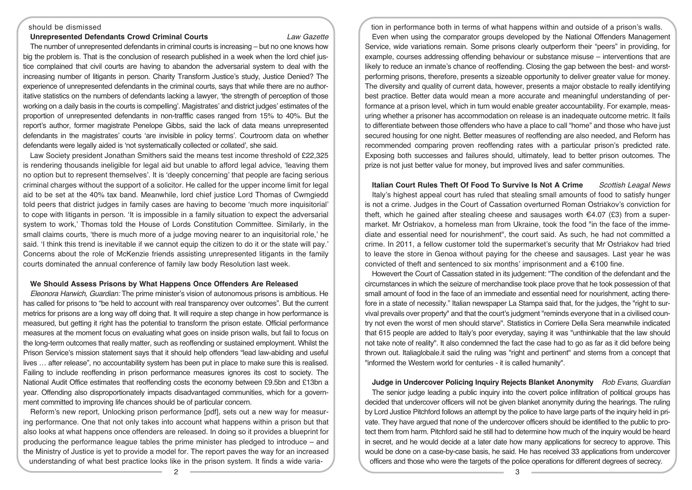## should be dismissed

## **Unrepresented Defendants Crowd Criminal Courts** *Law Gazette*

The number of unrepresented defendants in criminal courts is increasing – but no one knows how big the problem is. That is the conclusion of research published in a week when the lord chief justice complained that civil courts are having to abandon the adversarial system to deal with the increasing number of litigants in person. Charity Transform Justice's study, Justice Denied? The experience of unrepresented defendants in the criminal courts, says that while there are no authoritative statistics on the numbers of defendants lacking a lawyer, 'the strength of perception of those working on a daily basis in the courts is compelling'. Magistrates' and district judges' estimates of the proportion of unrepresented defendants in non-trafffic cases ranged from 15% to 40%. But the report's author, former magistrate Penelope Gibbs, said the lack of data means unrepresented defendants in the magistrates' courts 'are invisible in policy terms'. Courtroom data on whether defendants were legally aided is 'not systematically collected or collated', she said.

Law Society president Jonathan Smithers said the means test income threshold of £22,325 is rendering thousands ineligible for legal aid but unable to afford legal advice, 'leaving them no option but to represent themselves'. It is 'deeply concerning' that people are facing serious criminal charges without the support of a solicitor. He called for the upper income limit for legal aid to be set at the 40% tax band. Meanwhile, lord chief justice Lord Thomas of Cwmgiedd told peers that district judges in family cases are having to become 'much more inquisitorial' to cope with litigants in person. 'It is impossible in a family situation to expect the adversarial system to work,' Thomas told the House of Lords Constitution Committee. Similarly, in the small claims courts, 'there is much more of a judge moving nearer to an inquisitorial role,' he said. 'I think this trend is inevitable if we cannot equip the citizen to do it or the state will pay.' Concerns about the role of McKenzie friends assisting unrepresented litigants in the family courts dominated the annual conference of family law body Resolution last week.

## **We Should Assess Prisons by What Happens Once Offenders Are Released**

*Eleonora Harwich, Guardian:* The prime minister's vision of autonomous prisons is ambitious. He has called for prisons to "be held to account with real transparency over outcomes". But the current metrics for prisons are a long way off doing that. It will require a step change in how performance is measured, but getting it right has the potential to transform the prison estate. Official performance measures at the moment focus on evaluating what goes on inside prison walls, but fail to focus on the long-term outcomes that really matter, such as reoffending or sustained employment. Whilst the Prison Service's mission statement says that it should help offenders "lead law-abiding and useful lives … after release", no accountability system has been put in place to make sure this is realised. Failing to include reoffending in prison performance measures ignores its cost to society. The National Audit Office estimates that reoffending costs the economy between £9.5bn and £13bn a year. Offending also disproportionately impacts disadvantaged communities, which for a government committed to improving life chances should be of particular concern.

Reform's new report, Unlocking prison performance [pdf], sets out a new way for measuring performance. One that not only takes into account what happens within a prison but that also looks at what happens once offenders are released. In doing so it provides a blueprint for producing the performance league tables the prime minister has pledged to introduce – and the Ministry of Justice is yet to provide a model for. The report paves the way for an increased understanding of what best practice looks like in the prison system. It finds a wide varia-

tion in performance both in terms of what happens within and outside of a prison's walls. Even when using the comparator groups developed by the National Offenders Management Service, wide variations remain. Some prisons clearly outperform their "peers" in providing, for example, courses addressing offending behaviour or substance misuse – interventions that are likely to reduce an inmate's chance of reoffending. Closing the gap between the best- and worstperforming prisons, therefore, presents a sizeable opportunity to deliver greater value for money. The diversity and quality of current data, however, presents a major obstacle to really identifying best practice. Better data would mean a more accurate and meaningful understanding of performance at a prison level, which in turn would enable greater accountability. For example, measuring whether a prisoner has accommodation on release is an inadequate outcome metric. It fails to differentiate between those offenders who have a place to call "home" and those who have just secured housing for one night. Better measures of reoffending are also needed, and Reform has recommended comparing proven reoffending rates with a particular prison's predicted rate. Exposing both successes and failures should, ultimately, lead to better prison outcomes. The prize is not just better value for money, but improved lives and safer communities.

**Italian Court Rules Theft Of Food To Survive Is Not A Crime** *Scottish Leagal News* Italy's highest appeal court has ruled that stealing small amounts of food to satisfy hunger is not a crime. Judges in the Court of Cassation overturned Roman Ostriakov's conviction for theft, which he gained after stealing cheese and sausages worth  $\epsilon$ 4.07 (£3) from a supermarket. Mr Ostriakov, a homeless man from Ukraine, took the food "in the face of the immediate and essential need for nourishment", the court said. As such, he had not committed a crime. In 2011, a fellow customer told the supermarket's security that Mr Ostriakov had tried to leave the store in Genoa without paying for the cheese and sausages. Last year he was convicted of theft and sentenced to six months' imprisonment and a €100 fine.

Howevert the Court of Cassation stated in its judgement: "The condition of the defendant and the circumstances in which the seizure of merchandise took place prove that he took possession of that small amount of food in the face of an immediate and essential need for nourishment, acting therefore in a state of necessity." Italian newspaper La Stampa said that, for the judges, the "right to survival prevails over property" and that the court's judgment "reminds everyone that in a civilised country not even the worst of men should starve". Statistics in Corriere Della Sera meanwhile indicated that 615 people are added to Italy's poor everyday, saying it was "unthinkable that the law should not take note of reality". It also condemned the fact the case had to go as far as it did before being thrown out. Italiaglobale.it said the ruling was "right and pertinent" and stems from a concept that "informed the Western world for centuries - it is called humanity".

**Judge in Undercover Policing Inquiry Rejects Blanket Anonymity** *Rob Evans, Guardian* The senior judge leading a public inquiry into the covert police infiltration of political groups has decided that undercover officers will not be given blanket anonymity during the hearings. The ruling by Lord Justice Pitchford follows an attempt by the police to have large parts of the inquiry held in private. They have argued that none of the undercover officers should be identified to the public to protect them from harm. Pitchford said he still had to determine how much of the inquiry would be heard in secret, and he would decide at a later date how many applications for secrecy to approve. This would be done on a case-by-case basis, he said. He has received 33 applications from undercover officers and those who were the targets of the police operations for different degrees of secrecy.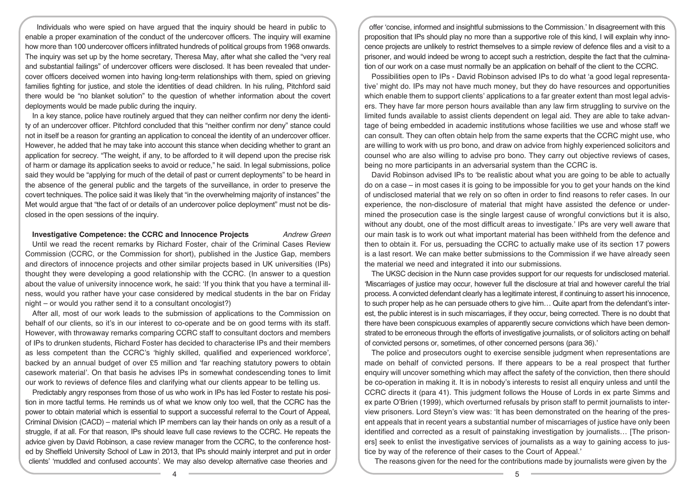Individuals who were spied on have argued that the inquiry should be heard in public to enable a proper examination of the conduct of the undercover officers. The inquiry will examine how more than 100 undercover officers infiltrated hundreds of political groups from 1968 onwards. The inquiry was set up by the home secretary, Theresa May, after what she called the "very real and substantial failings" of undercover officers were disclosed. It has been revealed that undercover officers deceived women into having long-term relationships with them, spied on grieving families fighting for justice, and stole the identities of dead children. In his ruling, Pitchford said there would be "no blanket solution" to the question of whether information about the covert deployments would be made public during the inquiry.

In a key stance, police have routinely argued that they can neither confirm nor deny the identity of an undercover officer. Pitchford concluded that this "neither confirm nor deny" stance could not in itself be a reason for granting an application to conceal the identity of an undercover officer. However, he added that he may take into account this stance when deciding whether to grant an application for secrecy. "The weight, if any, to be afforded to it will depend upon the precise risk of harm or damage its application seeks to avoid or reduce," he said. In legal submissions, police said they would be "applying for much of the detail of past or current deployments" to be heard in the absence of the general public and the targets of the surveillance, in order to preserve the covert techniques. The police said it was likely that "in the overwhelming majority of instances" the Met would argue that "the fact of or details of an undercover police deployment" must not be disclosed in the open sessions of the inquiry.

#### **Investigative Competence: the CCRC and Innocence Projects** *Andrew Green*

Until we read the recent remarks by Richard Foster, chair of the Criminal Cases Review Commission (CCRC, or the Commission for short), published in the Justice Gap, members and directors of innocence projects and other similar projects based in UK universities (IPs) thought they were developing a good relationship with the CCRC. (In answer to a question about the value of university innocence work, he said: 'If you think that you have a terminal illness, would you rather have your case considered by medical students in the bar on Friday night – or would you rather send it to a consultant oncologist?)

After all, most of our work leads to the submission of applications to the Commission on behalf of our clients, so it's in our interest to co-operate and be on good terms with its staff. However, with throwaway remarks comparing CCRC staff to consultant doctors and members of IPs to drunken students, Richard Foster has decided to characterise IPs and their members as less competent than the CCRC's 'highly skilled, qualified and experienced workforce', backed by an annual budget of over £5 million and 'far reaching statutory powers to obtain casework material'. On that basis he advises IPs in somewhat condescending tones to limit our work to reviews of defence files and clarifying what our clients appear to be telling us.

Predictably angry responses from those of us who work in IPs has led Foster to restate his position in more tactful terms. He reminds us of what we know only too well, that the CCRC has the power to obtain material which is essential to support a successful referral to the Court of Appeal, Criminal Division (CACD) – material which IP members can lay their hands on only as a result of a struggle, if at all. For that reason, IPs should leave full case reviews to the CCRC. He repeats the advice given by David Robinson, a case review manager from the CCRC, to the conference hosted by Sheffield University School of Law in 2013, that IPs should mainly interpret and put in order clients' 'muddled and confused accounts'. We may also develop alternative case theories and

offer 'concise, informed and insightful submissions to the Commission.' In disagreement with this proposition that IPs should play no more than a supportive role of this kind, I will explain why innocence projects are unlikely to restrict themselves to a simple review of defence files and a visit to a prisoner, and would indeed be wrong to accept such a restriction, despite the fact that the culmination of our work on a case must normally be an application on behalf of the client to the CCRC.

Possibilities open to IPs - David Robinson advised IPs to do what 'a good legal representative' might do. IPs may not have much money, but they do have resources and opportunities which enable them to support clients' applications to a far greater extent than most legal advisers. They have far more person hours available than any law firm struggling to survive on the limited funds available to assist clients dependent on legal aid. They are able to take advantage of being embedded in academic institutions whose facilities we use and whose staff we can consult. They can often obtain help from the same experts that the CCRC might use, who are willing to work with us pro bono, and draw on advice from highly experienced solicitors and counsel who are also willing to advise pro bono. They carry out objective reviews of cases, being no more participants in an adversarial system than the CCRC is.

David Robinson advised IPs to 'be realistic about what you are going to be able to actually do on a case – in most cases it is going to be impossible for you to get your hands on the kind of undisclosed material that we rely on so often in order to find reasons to refer cases. In our experience, the non-disclosure of material that might have assisted the defence or undermined the prosecution case is the single largest cause of wrongful convictions but it is also, without any doubt, one of the most difficult areas to investigate.' IPs are very well aware that our main task is to work out what important material has been withheld from the defence and then to obtain it. For us, persuading the CCRC to actually make use of its section 17 powers is a last resort. We can make better submissions to the Commission if we have already seen the material we need and integrated it into our submissions.

The UKSC decision in the Nunn case provides support for our requests for undisclosed material. 'Miscarriages of justice may occur, however full the disclosure at trial and however careful the trial process. A convicted defendant clearly has a legitimate interest, if continuing to assert his innocence, to such proper help as he can persuade others to give him… Quite apart from the defendant's interest, the public interest is in such miscarriages, if they occur, being corrected. There is no doubt that there have been conspicuous examples of apparently secure convictions which have been demonstrated to be erroneous through the efforts of investigative journalists, or of solicitors acting on behalf of convicted persons or, sometimes, of other concerned persons (para 36).'

The police and prosecutors ought to exercise sensible judgment when representations are made on behalf of convicted persons. If there appears to be a real prospect that further enquiry will uncover something which may affect the safety of the conviction, then there should be co-operation in making it. It is in nobody's interests to resist all enquiry unless and until the CCRC directs it (para 41). This judgment follows the House of Lords in ex parte Simms and ex parte O'Brien (1999), which overturned refusals by prison staff to permit journalists to interview prisoners. Lord Steyn's view was: 'It has been demonstrated on the hearing of the present appeals that in recent years a substantial number of miscarriages of justice have only been identified and corrected as a result of painstaking investigation by journalists… [The prisoners] seek to enlist the investigative services of journalists as a way to gaining access to justice by way of the reference of their cases to the Court of Appeal.'

The reasons given for the need for the contributions made by journalists were given by the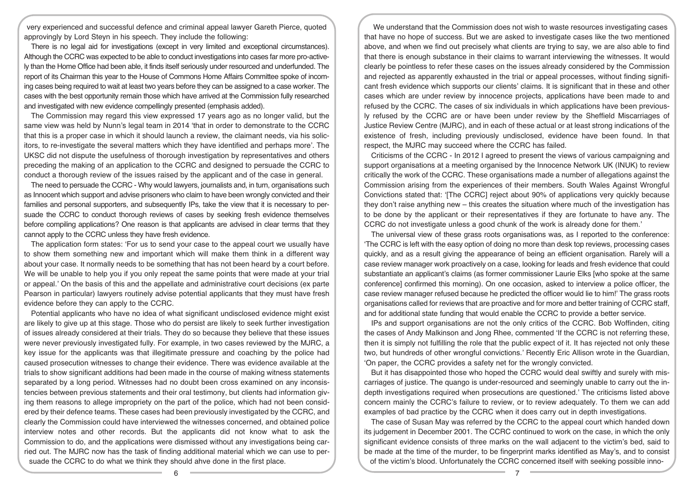very experienced and successful defence and criminal appeal lawyer Gareth Pierce, quoted approvingly by Lord Steyn in his speech. They include the following:

There is no legal aid for investigations (except in very limited and exceptional circumstances). Although the CCRC was expected to be able to conduct investigations into cases far more pro-actively than the Home Office had been able, it finds itself seriously under resourced and underfunded. The report of its Chairman this year to the House of Commons Home Affairs Committee spoke of incoming cases being required to wait at least two years before they can be assigned to a case worker. The cases with the best opportunity remain those which have arrived at the Commission fully researched and investigated with new evidence compellingly presented (emphasis added).

The Commission may regard this view expressed 17 years ago as no longer valid, but the same view was held by Nunn's legal team in 2014 'that in order to demonstrate to the CCRC that this is a proper case in which it should launch a review, the claimant needs, via his solicitors, to re-investigate the several matters which they have identified and perhaps more'. The UKSC did not dispute the usefulness of thorough investigation by representatives and others preceding the making of an application to the CCRC and designed to persuade the CCRC to conduct a thorough review of the issues raised by the applicant and of the case in general.

The need to persuade the CCRC - Why would lawyers, journalists and, in turn, organisations such as Innocent which support and advise prisoners who claim to have been wrongly convicted and their families and personal supporters, and subsequently IPs, take the view that it is necessary to persuade the CCRC to conduct thorough reviews of cases by seeking fresh evidence themselves before compiling applications? One reason is that applicants are advised in clear terms that they cannot apply to the CCRC unless they have fresh evidence.

The application form states: 'For us to send your case to the appeal court we usually have to show them something new and important which will make them think in a different way about your case. It normally needs to be something that has not been heard by a court before. We will be unable to help you if you only repeat the same points that were made at your trial or appeal.' On the basis of this and the appellate and administrative court decisions (ex parte Pearson in particular) lawyers routinely advise potential applicants that they must have fresh evidence before they can apply to the CCRC.

Potential applicants who have no idea of what significant undisclosed evidence might exist are likely to give up at this stage. Those who do persist are likely to seek further investigation of issues already considered at their trials. They do so because they believe that these issues were never previously investigated fully. For example, in two cases reviewed by the MJRC, a key issue for the applicants was that illegitimate pressure and coaching by the police had caused prosecution witnesses to change their evidence. There was evidence available at the trials to show significant additions had been made in the course of making witness statements separated by a long period. Witnesses had no doubt been cross examined on any inconsistencies between previous statements and their oral testimony, but clients had information giving them reasons to allege impropriety on the part of the police, which had not been considered by their defence teams. These cases had been previously investigated by the CCRC, and clearly the Commission could have interviewed the witnesses concerned, and obtained police interview notes and other records. But the applicants did not know what to ask the Commission to do, and the applications were dismissed without any investigations being carried out. The MJRC now has the task of finding additional material which we can use to persuade the CCRC to do what we think they should ahve done in the first place.

We understand that the Commission does not wish to waste resources investigating cases that have no hope of success. But we are asked to investigate cases like the two mentioned above, and when we find out precisely what clients are trying to say, we are also able to find that there is enough substance in their claims to warrant interviewing the witnesses. It would clearly be pointless to refer these cases on the issues already considered by the Commission and rejected as apparently exhausted in the trial or appeal processes, without finding significant fresh evidence which supports our clients' claims. It is significant that in these and other cases which are under review by innocence projects, applications have been made to and refused by the CCRC. The cases of six individuals in which applications have been previously refused by the CCRC are or have been under review by the Sheffield Miscarriages of Justice Review Centre (MJRC), and in each of these actual or at least strong indications of the existence of fresh, including previously undisclosed, evidence have been found. In that respect, the MJRC may succeed where the CCRC has failed.

Criticisms of the CCRC - In 2012 I agreed to present the views of various campaigning and support organisations at a meeting organised by the Innocence Network UK (INUK) to review critically the work of the CCRC. These organisations made a number of allegations against the Commission arising from the experiences of their members. South Wales Against Wrongful Convictions stated that: '[The CCRC] reject about 90% of applications very quickly because they don't raise anything new – this creates the situation where much of the investigation has to be done by the applicant or their representatives if they are fortunate to have any. The CCRC do not investigate unless a good chunk of the work is already done for them.'

The universal view of these grass roots organisations was, as I reported to the conference: 'The CCRC is left with the easy option of doing no more than desk top reviews, processing cases quickly, and as a result giving the appearance of being an efficient organisation. Rarely will a case review manager work proactively on a case, looking for leads and fresh evidence that could substantiate an applicant's claims (as former commissioner Laurie Elks [who spoke at the same conference] confirmed this morning). On one occasion, asked to interview a police officer, the case review manager refused because he predicted the officer would lie to him!' The grass roots organisations called for reviews that are proactive and for more and better training of CCRC staff, and for additional state funding that would enable the CCRC to provide a better service.

IPs and support organisations are not the only critics of the CCRC. Bob Woffinden, citing the cases of Andy Malkinson and Jong Rhee, commented 'If the CCRC is not referring these, then it is simply not fulfilling the role that the public expect of it. It has rejected not only these two, but hundreds of other wrongful convictions.' Recently Eric Allison wrote in the Guardian, 'On paper, the CCRC provides a safety net for the wrongly convicted.

But it has disappointed those who hoped the CCRC would deal swiftly and surely with miscarriages of justice. The quango is under-resourced and seemingly unable to carry out the indepth investigations required when prosecutions are questioned.' The criticisms listed above concern mainly the CCRC's failure to review, or to review adequately. To them we can add examples of bad practice by the CCRC when it does carry out in depth investigations.

The case of Susan May was referred by the CCRC to the appeal court which handed down its judgement in December 2001. The CCRC continued to work on the case, in which the only significant evidence consists of three marks on the wall adjacent to the victim's bed, said to be made at the time of the murder, to be fingerprint marks identified as May's, and to consist of the victim's blood. Unfortunately the CCRC concerned itself with seeking possible inno-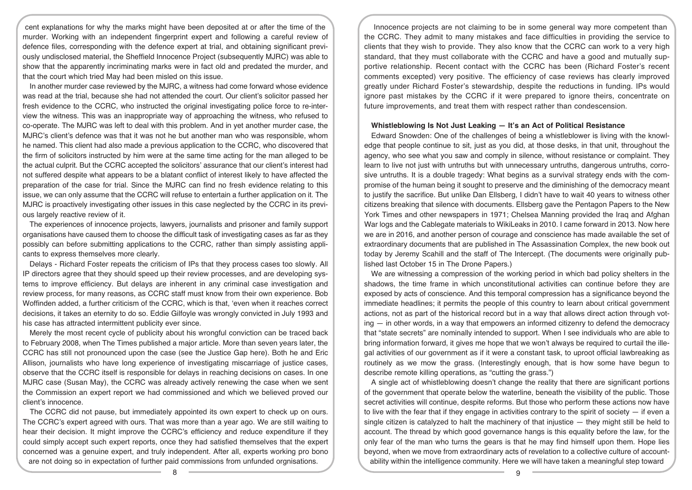cent explanations for why the marks might have been deposited at or after the time of the murder. Working with an independent fingerprint expert and following a careful review of defence files, corresponding with the defence expert at trial, and obtaining significant previously undisclosed material, the Sheffield Innocence Project (subsequently MJRC) was able to show that the apparently incriminating marks were in fact old and predated the murder, and that the court which tried May had been misled on this issue.

In another murder case reviewed by the MJRC, a witness had come forward whose evidence was read at the trial, because she had not attended the court. Our client's solicitor passed her fresh evidence to the CCRC, who instructed the original investigating police force to re-interview the witness. This was an inappropriate way of approaching the witness, who refused to co-operate. The MJRC was left to deal with this problem. And in yet another murder case, the MJRC's client's defence was that it was not he but another man who was responsible, whom he named. This client had also made a previous application to the CCRC, who discovered that the firm of solicitors instructed by him were at the same time acting for the man alleged to be the actual culprit. But the CCRC accepted the solicitors' assurance that our client's interest had not suffered despite what appears to be a blatant conflict of interest likely to have affected the preparation of the case for trial. Since the MJRC can find no fresh evidence relating to this issue, we can only assume that the CCRC will refuse to entertain a further application on it. The MJRC is proactively investigating other issues in this case neglected by the CCRC in its previous largely reactive review of it.

The experiences of innocence projects, lawyers, journalists and prisoner and family support organisations have caused them to choose the difficult task of investigating cases as far as they possibly can before submitting applications to the CCRC, rather than simply assisting applicants to express themselves more clearly.

Delays - Richard Foster repeats the criticism of IPs that they process cases too slowly. All IP directors agree that they should speed up their review processes, and are developing systems to improve efficiency. But delays are inherent in any criminal case investigation and review process, for many reasons, as CCRC staff must know from their own experience. Bob Woffinden added, a further criticism of the CCRC, which is that, 'even when it reaches correct decisions, it takes an eternity to do so. Eddie Gilfoyle was wrongly convicted in July 1993 and his case has attracted intermittent publicity ever since.

Merely the most recent cycle of publicity about his wrongful conviction can be traced back to February 2008, when The Times published a major article. More than seven years later, the CCRC has still not pronounced upon the case (see the Justice Gap here). Both he and Eric Allison, journalists who have long experience of investigating miscarriage of justice cases, observe that the CCRC itself is responsible for delays in reaching decisions on cases. In one MJRC case (Susan May), the CCRC was already actively renewing the case when we sent the Commission an expert report we had commissioned and which we believed proved our client's innocence.

The CCRC did not pause, but immediately appointed its own expert to check up on ours. The CCRC's expert agreed with ours. That was more than a year ago. We are still waiting to hear their decision. It might improve the CCRC's efficiency and reduce expenditure if they could simply accept such expert reports, once they had satisfied themselves that the expert concerned was a genuine expert, and truly independent. After all, experts working pro bono are not doing so in expectation of further paid commissions from unfunded orgnisations.

Innocence projects are not claiming to be in some general way more competent than the CCRC. They admit to many mistakes and face difficulties in providing the service to clients that they wish to provide. They also know that the CCRC can work to a very high standard, that they must collaborate with the CCRC and have a good and mutually supportive relationship. Recent contact with the CCRC has been (Richard Foster's recent comments excepted) very positive. The efficiency of case reviews has clearly improved greatly under Richard Foster's stewardship, despite the reductions in funding. IPs would ignore past mistakes by the CCRC if it were prepared to ignore theirs, concentrate on future improvements, and treat them with respect rather than condescension.

## **Whistleblowing Is Not Just Leaking — It's an Act of Political Resistance**

Edward Snowden: One of the challenges of being a whistleblower is living with the knowledge that people continue to sit, just as you did, at those desks, in that unit, throughout the agency, who see what you saw and comply in silence, without resistance or complaint. They learn to live not just with untruths but with unnecessary untruths, dangerous untruths, corrosive untruths. It is a double tragedy: What begins as a survival strategy ends with the compromise of the human being it sought to preserve and the diminishing of the democracy meant to justify the sacrifice. But unlike Dan Ellsberg, I didn't have to wait 40 years to witness other citizens breaking that silence with documents. Ellsberg gave the Pentagon Papers to the New York Times and other newspapers in 1971; Chelsea Manning provided the Iraq and Afghan War logs and the Cablegate materials to WikiLeaks in 2010. I came forward in 2013. Now here we are in 2016, and another person of courage and conscience has made available the set of extraordinary documents that are published in The Assassination Complex, the new book out today by Jeremy Scahill and the staff of The Intercept. (The documents were originally published last October 15 in The Drone Papers.)

We are witnessing a compression of the working period in which bad policy shelters in the shadows, the time frame in which unconstitutional activities can continue before they are exposed by acts of conscience. And this temporal compression has a significance beyond the immediate headlines; it permits the people of this country to learn about critical government actions, not as part of the historical record but in a way that allows direct action through voting — in other words, in a way that empowers an informed citizenry to defend the democracy that "state secrets" are nominally intended to support. When I see individuals who are able to bring information forward, it gives me hope that we won't always be required to curtail the illegal activities of our government as if it were a constant task, to uproot official lawbreaking as routinely as we mow the grass. (Interestingly enough, that is how some have begun to describe remote killing operations, as "cutting the grass.")

A single act of whistleblowing doesn't change the reality that there are significant portions of the government that operate below the waterline, beneath the visibility of the public. Those secret activities will continue, despite reforms. But those who perform these actions now have to live with the fear that if they engage in activities contrary to the spirit of society  $-$  if even a single citizen is catalyzed to halt the machinery of that injustice  $-$  they might still be held to account. The thread by which good governance hangs is this equality before the law, for the only fear of the man who turns the gears is that he may find himself upon them. Hope lies beyond, when we move from extraordinary acts of revelation to a collective culture of accountability within the intelligence community. Here we will have taken a meaningful step toward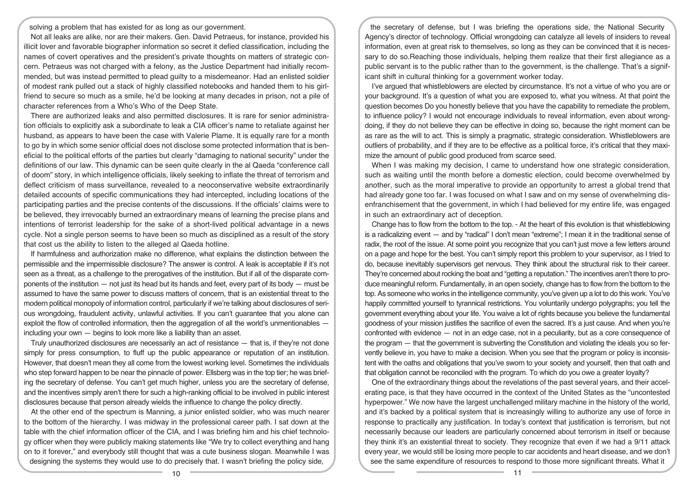solving a problem that has existed for as long as our government.

Not all leaks are alike, nor are their makers. Gen. David Petraeus, for instance, provided his illicit lover and favorable biographer information so secret it defied classification, including the names of covert operatives and the president's private thoughts on matters of strategic concern. Petraeus was not charged with a felony, as the Justice Department had initially recommended, but was instead permitted to plead guilty to a misdemeanor. Had an enlisted soldier of modest rank pulled out a stack of highly classified notebooks and handed them to his girlfriend to secure so much as a smile, he'd be looking at many decades in prison, not a pile of character references from a Who's Who of the Deep State.

There are authorized leaks and also permitted disclosures. It is rare for senior administration officials to explicitly ask a subordinate to leak a CIA officer's name to retaliate against her husband, as appears to have been the case with Valerie Plame. It is equally rare for a month to go by in which some senior official does not disclose some protected information that is beneficial to the political efforts of the parties but clearly "damaging to national security" under the definitions of our law. This dynamic can be seen quite clearly in the al Qaeda "conference call of doom" story, in which intelligence officials, likely seeking to inflate the threat of terrorism and deflect criticism of mass surveillance, revealed to a neoconservative website extraordinarily detailed accounts of specific communications they had intercepted, including locations of the participating parties and the precise contents of the discussions. If the officials' claims were to be believed, they irrevocably burned an extraordinary means of learning the precise plans and intentions of terrorist leadership for the sake of a short-lived political advantage in a news cycle. Not a single person seems to have been so much as disciplined as a result of the story that cost us the ability to listen to the alleged al Qaeda hotline.

If harmfulness and authorization make no difference, what explains the distinction between the permissible and the impermissible disclosure? The answer is control. A leak is acceptable if it's not seen as a threat, as a challenge to the prerogatives of the institution. But if all of the disparate components of the institution  $-$  not just its head but its hands and feet, every part of its body  $-$  must be assumed to have the same power to discuss matters of concern, that is an existential threat to the modern political monopoly of information control, particularly if we're talking about disclosures of serious wrongdoing, fraudulent activity, unlawful activities. If you can't guarantee that you alone can exploit the flow of controlled information, then the aggregation of all the world's unmentionables including your own — begins to look more like a liability than an asset.

Truly unauthorized disclosures are necessarily an act of resistance — that is, if they're not done simply for press consumption, to fluff up the public appearance or reputation of an institution. However, that doesn't mean they all come from the lowest working level. Sometimes the individuals who step forward happen to be near the pinnacle of power. Ellsberg was in the top tier; he was briefing the secretary of defense. You can't get much higher, unless you are the secretary of defense, and the incentives simply aren't there for such a high-ranking official to be involved in public interest disclosures because that person already wields the influence to change the policy directly.

At the other end of the spectrum is Manning, a junior enlisted soldier, who was much nearer to the bottom of the hierarchy. I was midway in the professional career path. I sat down at the table with the chief information officer of the CIA, and I was briefing him and his chief technology officer when they were publicly making statements like "We try to collect everything and hang on to it forever," and everybody still thought that was a cute business slogan. Meanwhile I was designing the systems they would use to do precisely that. I wasn't briefing the policy side,

the secretary of defense, but I was briefing the operations side, the National Security Agency's director of technology. Official wrongdoing can catalyze all levels of insiders to reveal information, even at great risk to themselves, so long as they can be convinced that it is necessary to do so.Reaching those individuals, helping them realize that their first allegiance as a public servant is to the public rather than to the government, is the challenge. That's a significant shift in cultural thinking for a government worker today.

I've argued that whistleblowers are elected by circumstance. It's not a virtue of who you are or your background. It's a question of what you are exposed to, what you witness. At that point the question becomes Do you honestly believe that you have the capability to remediate the problem, to influence policy? I would not encourage individuals to reveal information, even about wrongdoing, if they do not believe they can be effective in doing so, because the right moment can be as rare as the will to act. This is simply a pragmatic, strategic consideration. Whistleblowers are outliers of probability, and if they are to be effective as a political force, it's critical that they maximize the amount of public good produced from scarce seed.

When I was making my decision, I came to understand how one strategic consideration, such as waiting until the month before a domestic election, could become overwhelmed by another, such as the moral imperative to provide an opportunity to arrest a global trend that had already gone too far. I was focused on what I saw and on my sense of overwhelming disenfranchisement that the government, in which I had believed for my entire life, was engaged in such an extraordinary act of deception.

Change has to flow from the bottom to the top. - At the heart of this evolution is that whistleblowing is a radicalizing event — and by "radical" I don't mean "extreme"; I mean it in the traditional sense of radix, the root of the issue. At some point you recognize that you can't just move a few letters around on a page and hope for the best. You can't simply report this problem to your supervisor, as I tried to do, because inevitably supervisors get nervous. They think about the structural risk to their career. They're concerned about rocking the boat and "getting a reputation." The incentives aren't there to produce meaningful reform. Fundamentally, in an open society, change has to flow from the bottom to the top. As someone who works in the intelligence community, you've given up a lot to do this work. You've happily committed yourself to tyrannical restrictions. You voluntarily undergo polygraphs; you tell the government everything about your life. You waive a lot of rights because you believe the fundamental goodness of your mission justifies the sacrifice of even the sacred. It's a just cause. And when you're confronted with evidence — not in an edge case, not in a peculiarity, but as a core consequence of the program — that the government is subverting the Constitution and violating the ideals you so fervently believe in, you have to make a decision. When you see that the program or policy is inconsistent with the oaths and obligations that you've sworn to your society and yourself, then that oath and that obligation cannot be reconciled with the program. To which do you owe a greater loyalty?

One of the extraordinary things about the revelations of the past several years, and their accelerating pace, is that they have occurred in the context of the United States as the "uncontested hyperpower." We now have the largest unchallenged military machine in the history of the world, and it's backed by a political system that is increasingly willing to authorize any use of force in response to practically any justification. In today's context that justification is terrorism, but not necessarily because our leaders are particularly concerned about terrorism in itself or because they think it's an existential threat to society. They recognize that even if we had a 9/11 attack every year, we would still be losing more people to car accidents and heart disease, and we don't see the same expenditure of resources to respond to those more significant threats. What it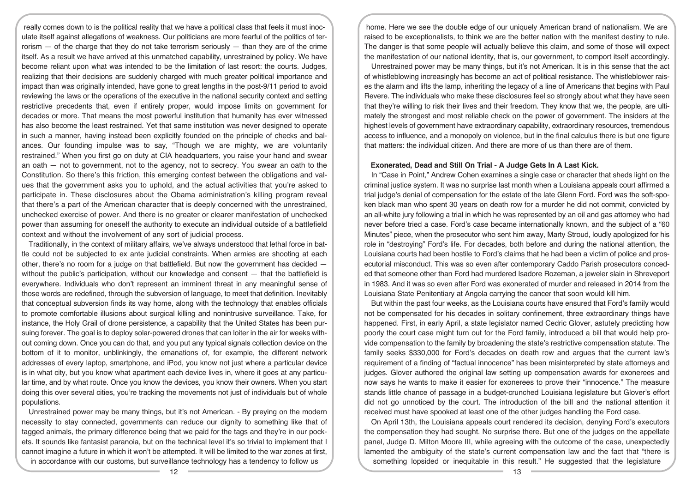really comes down to is the political reality that we have a political class that feels it must inoculate itself against allegations of weakness. Our politicians are more fearful of the politics of terrorism  $-$  of the charge that they do not take terrorism seriously  $-$  than they are of the crime itself. As a result we have arrived at this unmatched capability, unrestrained by policy. We have become reliant upon what was intended to be the limitation of last resort: the courts. Judges, realizing that their decisions are suddenly charged with much greater political importance and impact than was originally intended, have gone to great lengths in the post-9/11 period to avoid reviewing the laws or the operations of the executive in the national security context and setting restrictive precedents that, even if entirely proper, would impose limits on government for decades or more. That means the most powerful institution that humanity has ever witnessed has also become the least restrained. Yet that same institution was never designed to operate in such a manner, having instead been explicitly founded on the principle of checks and balances. Our founding impulse was to say, "Though we are mighty, we are voluntarily restrained." When you first go on duty at CIA headquarters, you raise your hand and swear an oath — not to government, not to the agency, not to secrecy. You swear an oath to the Constitution. So there's this friction, this emerging contest between the obligations and values that the government asks you to uphold, and the actual activities that you're asked to participate in. These disclosures about the Obama administration's killing program reveal that there's a part of the American character that is deeply concerned with the unrestrained, unchecked exercise of power. And there is no greater or clearer manifestation of unchecked power than assuming for oneself the authority to execute an individual outside of a battlefield context and without the involvement of any sort of judicial process.

Traditionally, in the context of military affairs, we've always understood that lethal force in battle could not be subjected to ex ante judicial constraints. When armies are shooting at each other, there's no room for a judge on that battlefield. But now the government has decided without the public's participation, without our knowledge and consent — that the battlefield is everywhere. Individuals who don't represent an imminent threat in any meaningful sense of those words are redefined, through the subversion of language, to meet that definition. Inevitably that conceptual subversion finds its way home, along with the technology that enables officials to promote comfortable illusions about surgical killing and nonintrusive surveillance. Take, for instance, the Holy Grail of drone persistence, a capability that the United States has been pursuing forever. The goal is to deploy solar-powered drones that can loiter in the air for weeks without coming down. Once you can do that, and you put any typical signals collection device on the bottom of it to monitor, unblinkingly, the emanations of, for example, the different network addresses of every laptop, smartphone, and iPod, you know not just where a particular device is in what city, but you know what apartment each device lives in, where it goes at any particular time, and by what route. Once you know the devices, you know their owners. When you start doing this over several cities, you're tracking the movements not just of individuals but of whole populations.

Unrestrained power may be many things, but it's not American. - By preying on the modern necessity to stay connected, governments can reduce our dignity to something like that of tagged animals, the primary difference being that we paid for the tags and they're in our pockets. It sounds like fantasist paranoia, but on the technical level it's so trivial to implement that I cannot imagine a future in which it won't be attempted. It will be limited to the war zones at first, in accordance with our customs, but surveillance technology has a tendency to follow us

home. Here we see the double edge of our uniquely American brand of nationalism. We are raised to be exceptionalists, to think we are the better nation with the manifest destiny to rule. The danger is that some people will actually believe this claim, and some of those will expect the manifestation of our national identity, that is, our government, to comport itself accordingly.

Unrestrained power may be many things, but it's not American. It is in this sense that the act of whistleblowing increasingly has become an act of political resistance. The whistleblower raises the alarm and lifts the lamp, inheriting the legacy of a line of Americans that begins with Paul Revere. The individuals who make these disclosures feel so strongly about what they have seen that they're willing to risk their lives and their freedom. They know that we, the people, are ultimately the strongest and most reliable check on the power of government. The insiders at the highest levels of government have extraordinary capability, extraordinary resources, tremendous access to influence, and a monopoly on violence, but in the final calculus there is but one figure that matters: the individual citizen. And there are more of us than there are of them.

#### **Exonerated, Dead and Still On Trial - A Judge Gets In A Last Kick.**

In "Case in Point," Andrew Cohen examines a single case or character that sheds light on the criminal justice system. It was no surprise last month when a Louisiana appeals court affirmed a trial judge's denial of compensation for the estate of the late Glenn Ford. Ford was the soft-spoken black man who spent 30 years on death row for a murder he did not commit, convicted by an all-white jury following a trial in which he was represented by an oil and gas attorney who had never before tried a case. Ford's case became internationally known, and the subject of a "60 Minutes" piece, when the prosecutor who sent him away, Marty Stroud, loudly apologized for his role in "destroying" Ford's life. For decades, both before and during the national attention, the Louisiana courts had been hostile to Ford's claims that he had been a victim of police and prosecutorial misconduct. This was so even after contemporary Caddo Parish prosecutors conceded that someone other than Ford had murdered Isadore Rozeman, a jeweler slain in Shreveport in 1983. And it was so even after Ford was exonerated of murder and released in 2014 from the Louisiana State Penitentiary at Angola carrying the cancer that soon would kill him.

But within the past four weeks, as the Louisiana courts have ensured that Ford's family would not be compensated for his decades in solitary confinement, three extraordinary things have happened. First, in early April, a state legislator named Cedric Glover, astutely predicting how poorly the court case might turn out for the Ford family, introduced a bill that would help provide compensation to the family by broadening the state's restrictive compensation statute. The family seeks \$330,000 for Ford's decades on death row and argues that the current law's requirement of a finding of "factual innocence" has been misinterpreted by state attorneys and judges. Glover authored the original law setting up compensation awards for exonerees and now says he wants to make it easier for exonerees to prove their "innocence." The measure stands little chance of passage in a budget-crunched Louisiana legislature but Glover's effort did not go unnoticed by the court. The introduction of the bill and the national attention it received must have spooked at least one of the other judges handling the Ford case.

On April 13th, the Louisiana appeals court rendered its decision, denying Ford's executors the compensation they had sought. No surprise there. But one of the judges on the appellate panel, Judge D. Milton Moore III, while agreeing with the outcome of the case, unexpectedly lamented the ambiguity of the state's current compensation law and the fact that "there is something lopsided or inequitable in this result." He suggested that the legislature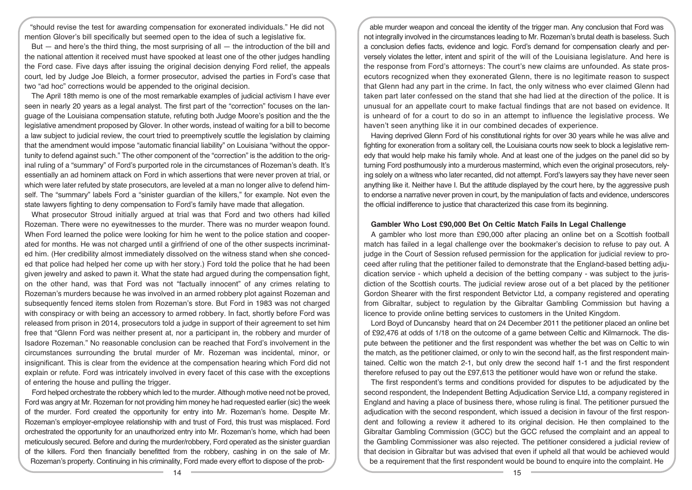"should revise the test for awarding compensation for exonerated individuals." He did not mention Glover's bill specifically but seemed open to the idea of such a legislative fix.

But  $-$  and here's the third thing, the most surprising of all  $-$  the introduction of the bill and the national attention it received must have spooked at least one of the other judges handling the Ford case. Five days after issuing the original decision denying Ford relief, the appeals court, led by Judge Joe Bleich, a former prosecutor, advised the parties in Ford's case that two "ad hoc" corrections would be appended to the original decision.

The April 18th memo is one of the most remarkable examples of judicial activism I have ever seen in nearly 20 years as a legal analyst. The first part of the "correction" focuses on the language of the Louisiana compensation statute, refuting both Judge Moore's position and the the legislative amendment proposed by Glover. In other words, instead of waiting for a bill to become a law subject to judicial review, the court tried to preemptively scuttle the legislation by claiming that the amendment would impose "automatic financial liability" on Louisiana "without the opportunity to defend against such." The other component of the "correction" is the addition to the original ruling of a "summary" of Ford's purported role in the circumstances of Rozeman's death. It's essentially an ad hominem attack on Ford in which assertions that were never proven at trial, or which were later refuted by state prosecutors, are leveled at a man no longer alive to defend himself. The "summary" labels Ford a "sinister guardian of the killers," for example. Not even the state lawyers fighting to deny compensation to Ford's family have made that allegation.

What prosecutor Stroud initially argued at trial was that Ford and two others had killed Rozeman. There were no eyewitnesses to the murder. There was no murder weapon found. When Ford learned the police were looking for him he went to the police station and cooperated for months. He was not charged until a girlfriend of one of the other suspects incriminated him. (Her credibility almost immediately dissolved on the witness stand when she conceded that police had helped her come up with her story.) Ford told the police that he had been given jewelry and asked to pawn it. What the state had argued during the compensation fight, on the other hand, was that Ford was not "factually innocent" of any crimes relating to Rozeman's murders because he was involved in an armed robbery plot against Rozeman and subsequently fenced items stolen from Rozeman's store. But Ford in 1983 was not charged with conspiracy or with being an accessory to armed robbery. In fact, shortly before Ford was released from prison in 2014, prosecutors told a judge in support of their agreement to set him free that "Glenn Ford was neither present at, nor a participant in, the robbery and murder of Isadore Rozeman." No reasonable conclusion can be reached that Ford's involvement in the circumstances surrounding the brutal murder of Mr. Rozeman was incidental, minor, or insignificant. This is clear from the evidence at the compensation hearing which Ford did not explain or refute. Ford was intricately involved in every facet of this case with the exceptions of entering the house and pulling the trigger.

Ford helped orchestrate the robbery which led to the murder. Although motive need not be proved, Ford was angry at Mr. Rozeman for not providing him money he had requested earlier (sic) the week of the murder. Ford created the opportunity for entry into Mr. Rozeman's home. Despite Mr. Rozeman's employer-employee relationship with and trust of Ford, this trust was misplaced. Ford orchestrated the opportunity for an unauthorized entry into Mr. Rozeman's home, which had been meticulously secured. Before and during the murder/robbery, Ford operated as the sinister guardian of the killers. Ford then financially benefitted from the robbery, cashing in on the sale of Mr. Rozeman's property. Continuing in his criminality, Ford made every effort to dispose of the prob-

able murder weapon and conceal the identity of the trigger man. Any conclusion that Ford was not integrally involved in the circumstances leading to Mr. Rozeman's brutal death is baseless. Such a conclusion defies facts, evidence and logic. Ford's demand for compensation clearly and perversely violates the letter, intent and spirit of the will of the Louisiana legislature. And here is the response from Ford's attorneys: The court's new claims are unfounded. As state prosecutors recognized when they exonerated Glenn, there is no legitimate reason to suspect that Glenn had any part in the crime. In fact, the only witness who ever claimed Glenn had taken part later confessed on the stand that she had lied at the direction of the police. It is unusual for an appellate court to make factual findings that are not based on evidence. It is unheard of for a court to do so in an attempt to influence the legislative process. We haven't seen anything like it in our combined decades of experience.

Having deprived Glenn Ford of his constitutional rights for over 30 years while he was alive and fighting for exoneration from a solitary cell, the Louisiana courts now seek to block a legislative remedy that would help make his family whole. And at least one of the judges on the panel did so by turning Ford posthumously into a murderous mastermind, which even the original prosecutors, relying solely on a witness who later recanted, did not attempt. Ford's lawyers say they have never seen anything like it. Neither have I. But the attitude displayed by the court here, by the aggressive push to endorse a narrative never proven in court, by the manipulation of facts and evidence, underscores the official indifference to justice that characterized this case from its beginning.

#### **Gambler Who Lost £90,000 Bet On Celtic Match Fails In Legal Challenge**

A gambler who lost more than £90,000 after placing an online bet on a Scottish football match has failed in a legal challenge over the bookmaker's decision to refuse to pay out. A judge in the Court of Session refused permission for the application for judicial review to proceed after ruling that the petitioner failed to demonstrate that the England-based betting adjudication service - which upheld a decision of the betting company - was subject to the jurisdiction of the Scottish courts. The judicial review arose out of a bet placed by the petitioner Gordon Shearer with the first respondent Betvictor Ltd, a company registered and operating from Gibraltar, subject to regulation by the Gibraltar Gambling Commission but having a licence to provide online betting services to customers in the United Kingdom.

Lord Boyd of Duncansby heard that on 24 December 2011 the petitioner placed an online bet of £92,476 at odds of 1/18 on the outcome of a game between Celtic and Kilmarnock. The dispute between the petitioner and the first respondent was whether the bet was on Celtic to win the match, as the petitioner claimed, or only to win the second half, as the first respondent maintained. Celtic won the match 2-1, but only drew the second half 1-1 and the first respondent therefore refused to pay out the £97,613 the petitioner would have won or refund the stake.

The first respondent's terms and conditions provided for disputes to be adjudicated by the second respondent, the Independent Betting Adjudication Service Ltd, a company registered in England and having a place of business there, whose ruling is final. The petitioner pursued the adjudication with the second respondent, which issued a decision in favour of the first respondent and following a review it adhered to its original decision. He then complained to the Gibraltar Gambling Commission (GCC) but the GCC refused the complaint and an appeal to the Gambling Commissioner was also rejected. The petitioner considered a judicial review of that decision in Gibraltar but was advised that even if upheld all that would be achieved would be a requirement that the first respondent would be bound to enquire into the complaint. He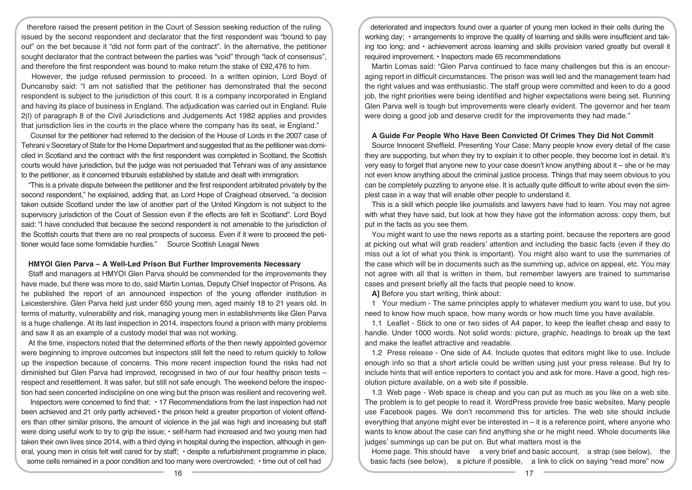therefore raised the present petition in the Court of Session seeking reduction of the ruling issued by the second respondent and declarator that the first respondent was "bound to pay out" on the bet because it "did not form part of the contract". In the alternative, the petitioner sought declarator that the contract between the parties was "void" through "lack of consensus", and therefore the first respondent was bound to make return the stake of £92,476 to him.

However, the judge refused permission to proceed. In a written opinion, Lord Boyd of Duncansby said: "I am not satisfied that the petitioner has demonstrated that the second respondent is subject to the jurisdiction of this court. It is a company incorporated in England and having its place of business in England. The adjudication was carried out in England. Rule 2(l) of paragraph 8 of the Civil Jurisdictions and Judgements Act 1982 applies and provides that jurisdiction lies in the courts in the place where the company has its seat, ie England."

Counsel for the petitioner had referred to the decision of the House of Lords in the 2007 case of Tehrani v Secretary of State for the Home Department and suggested that as the petitioner was domiciled in Scotland and the contract with the first respondent was completed in Scotland, the Scottish courts would have jurisdiction, but the judge was not persuaded that Tehrani was of any assistance to the petitioner, as it concerned tribunals established by statute and dealt with immigration.

"This is a private dispute between the petitioner and the first respondent arbitrated privately by the second respondent," he explained, adding that, as Lord Hope of Craighead observed, "a decision taken outside Scotland under the law of another part of the United Kingdom is not subject to the supervisory jurisdiction of the Court of Session even if the effects are felt in Scotland". Lord Boyd said: "I have concluded that because the second respondent is not amenable to the jurisdiction of the Scottish courts that there are no real prospects of success. Even if it were to proceed the petitioner would face some formidable hurdles." Source Scottish Leagal News

## **HMYOI Glen Parva – A Well-Led Prison But Further Improvements Necessary**

Staff and managers at HMYOI Glen Parva should be commended for the improvements they have made, but there was more to do, said Martin Lomas, Deputy Chief Inspector of Prisons. As he published the report of an announced inspection of the young offender institution in Leicestershire. Glen Parva held just under 650 young men, aged mainly 18 to 21 years old. In terms of maturity, vulnerability and risk, managing young men in establishments like Glen Parva is a huge challenge. At its last inspection in 2014, inspectors found a prison with many problems and saw it as an example of a custody model that was not working.

At the time, inspectors noted that the determined efforts of the then newly appointed governor were beginning to improve outcomes but inspectors still felt the need to return quickly to follow up the inspection because of concerns. This more recent inspection found the risks had not diminished but Glen Parva had improved, recognised in two of our four healthy prison tests – respect and resettlement. It was safer, but still not safe enough. The weekend before the inspection had seen concerted indiscipline on one wing but the prison was resilient and recovering well.

Inspectors were concerned to find that: • 17 Recommendations from the last inspection had not been achieved and 21 only partly achieved.• the prison held a greater proportion of violent offenders than other similar prisons, the amount of violence in the jail was high and increasing but staff were doing useful work to try to grip the issue; • self-harm had increased and two young men had taken their own lives since 2014, with a third dying in hospital during the inspection, although in general, young men in crisis felt well cared for by staff; • despite a refurbishment programme in place, some cells remained in a poor condition and too many were overcrowded:  $\cdot$  time out of cell had

deteriorated and inspectors found over a quarter of young men locked in their cells during the working day; • arrangements to improve the quality of learning and skills were insufficient and taking too long; and • achievement across learning and skills provision varied greatly but overall it required improvement. • Inspectors made 65 recommendations

Martin Lomas said: "Glen Parva continued to face many challenges but this is an encouraging report in difficult circumstances. The prison was well led and the management team had the right values and was enthusiastic. The staff group were committed and keen to do a good job, the right priorities were being identified and higher expectations were being set. Running Glen Parva well is tough but improvements were clearly evident. The governor and her team were doing a good job and deserve credit for the improvements they had made."

#### **A Guide For People Who Have Been Convicted Of Crimes They Did Not Commit**

Source Innocent Sheffield. Presenting Your Case: Many people know every detail of the case they are supporting, but when they try to explain it to other people, they become lost in detail. It's very easy to forget that anyone new to your case doesn't know anything about it – she or he may not even know anything about the criminal justice process. Things that may seem obvious to you can be completely puzzling to anyone else. It is actually quite difficult to write about even the simplest case in a way that will enable other people to understand it.

This is a skill which people like journalists and lawyers have had to learn. You may not agree with what they have said, but look at how they have got the information across: copy them, but put in the facts as you see them.

You might want to use the news reports as a starting point, because the reporters are good at picking out what will grab readers' attention and including the basic facts (even if they do miss out a lot of what you think is important). You might also want to use the summaries of the case which will be in documents such as the summing up, advice on appeal, etc. You may not agree with all that is written in them, but remember lawyers are trained to summarise cases and present briefly all the facts that people need to know.

**A]** Before you start writing, think about:

1 Your medium - The same principles apply to whatever medium you want to use, but you need to know how much space, how many words or how much time you have available.

1.1 Leaflet - Stick to one or two sides of A4 paper, to keep the leaflet cheap and easy to handle. Under 1000 words. Not solid words: picture, graphic, headings to break up the text and make the leaflet attractive and readable.

1.2 Press release - One side of A4. Include quotes that editors might like to use. Include enough info so that a short article could be written using just your press release. But try to include hints that will entice reporters to contact you and ask for more. Have a good, high resolution picture available, on a web site if possible.

1.3 Web page - Web space is cheap and you can put as much as you like on a web site. The problem is to get people to read it. WordPress provide free basic websites. Many people use Facebook pages. We don't recommend this for articles. The web site should include everything that anyone might ever be interested in – it is a reference point, where anyone who wants to know about the case can find anything she or he might need. Whole documents like judges' summings up can be put on. But what matters most is the

Home page. This should have a very brief and basic account, a strap (see below), the basic facts (see below), a picture if possible, a link to click on saying "read more" now